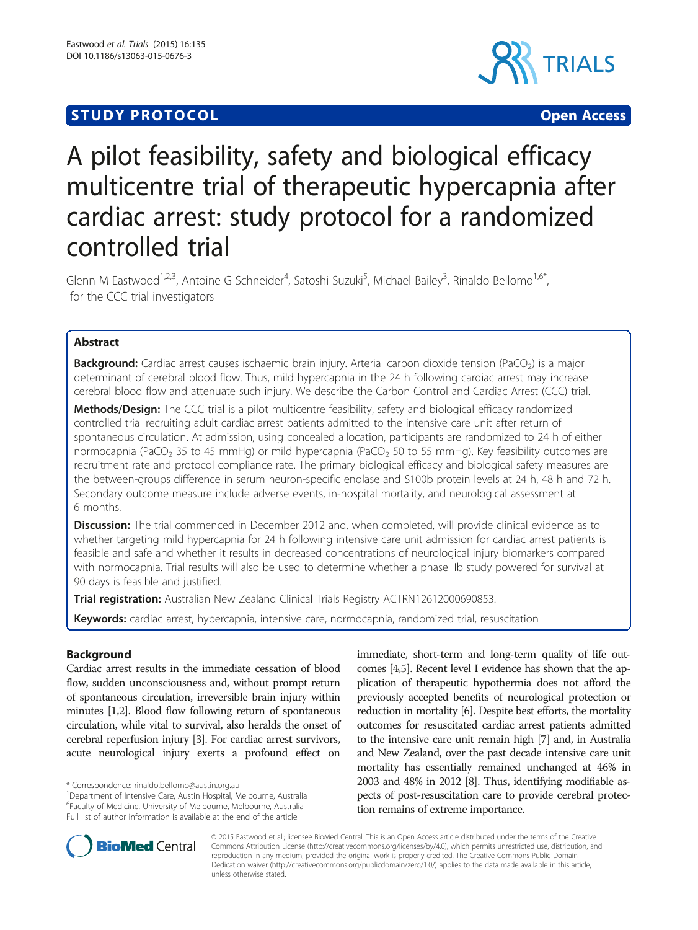# **STUDY PROTOCOL CONSUMING THE CONSUMING OPEN ACCESS**



# A pilot feasibility, safety and biological efficacy multicentre trial of therapeutic hypercapnia after cardiac arrest: study protocol for a randomized controlled trial

Glenn M Eastwood<sup>1,2,3</sup>, Antoine G Schneider<sup>4</sup>, Satoshi Suzuki<sup>5</sup>, Michael Bailey<sup>3</sup>, Rinaldo Bellomo<sup>1,6\*</sup>, for the CCC trial investigators

# Abstract

Background: Cardiac arrest causes ischaemic brain injury. Arterial carbon dioxide tension (PaCO<sub>2</sub>) is a major determinant of cerebral blood flow. Thus, mild hypercapnia in the 24 h following cardiac arrest may increase cerebral blood flow and attenuate such injury. We describe the Carbon Control and Cardiac Arrest (CCC) trial.

Methods/Design: The CCC trial is a pilot multicentre feasibility, safety and biological efficacy randomized controlled trial recruiting adult cardiac arrest patients admitted to the intensive care unit after return of spontaneous circulation. At admission, using concealed allocation, participants are randomized to 24 h of either normocapnia (PaCO<sub>2</sub> 35 to 45 mmHg) or mild hypercapnia (PaCO<sub>2</sub> 50 to 55 mmHg). Key feasibility outcomes are recruitment rate and protocol compliance rate. The primary biological efficacy and biological safety measures are the between-groups difference in serum neuron-specific enolase and S100b protein levels at 24 h, 48 h and 72 h. Secondary outcome measure include adverse events, in-hospital mortality, and neurological assessment at 6 months.

**Discussion:** The trial commenced in December 2012 and, when completed, will provide clinical evidence as to whether targeting mild hypercapnia for 24 h following intensive care unit admission for cardiac arrest patients is feasible and safe and whether it results in decreased concentrations of neurological injury biomarkers compared with normocapnia. Trial results will also be used to determine whether a phase IIb study powered for survival at 90 days is feasible and justified.

Trial registration: Australian New Zealand Clinical Trials Registry [ACTRN12612000690853.](https://www.anzctr.org.au/Trial/Registration/TrialReview.aspx?id=362691)

Keywords: cardiac arrest, hypercapnia, intensive care, normocapnia, randomized trial, resuscitation

# Background

Cardiac arrest results in the immediate cessation of blood flow, sudden unconsciousness and, without prompt return of spontaneous circulation, irreversible brain injury within minutes [\[1,2](#page-4-0)]. Blood flow following return of spontaneous circulation, while vital to survival, also heralds the onset of cerebral reperfusion injury [\[3\]](#page-4-0). For cardiac arrest survivors, acute neurological injury exerts a profound effect on

immediate, short-term and long-term quality of life outcomes [[4,5\]](#page-4-0). Recent level I evidence has shown that the application of therapeutic hypothermia does not afford the previously accepted benefits of neurological protection or reduction in mortality [\[6\]](#page-5-0). Despite best efforts, the mortality outcomes for resuscitated cardiac arrest patients admitted to the intensive care unit remain high [[7\]](#page-5-0) and, in Australia and New Zealand, over the past decade intensive care unit mortality has essentially remained unchanged at 46% in 2003 and 48% in 2012 [\[8\]](#page-5-0). Thus, identifying modifiable aspects of post-resuscitation care to provide cerebral protection remains of extreme importance.



© 2015 Eastwood et al.; licensee BioMed Central. This is an Open Access article distributed under the terms of the Creative Commons Attribution License [\(http://creativecommons.org/licenses/by/4.0\)](http://creativecommons.org/licenses/by/4.0), which permits unrestricted use, distribution, and reproduction in any medium, provided the original work is properly credited. The Creative Commons Public Domain Dedication waiver [\(http://creativecommons.org/publicdomain/zero/1.0/](http://creativecommons.org/publicdomain/zero/1.0/)) applies to the data made available in this article, unless otherwise stated.

<sup>\*</sup> Correspondence: [rinaldo.bellomo@austin.org.au](mailto:rinaldo.bellomo@austin.org.au) <sup>1</sup>

Department of Intensive Care, Austin Hospital, Melbourne, Australia 6 Faculty of Medicine, University of Melbourne, Melbourne, Australia Full list of author information is available at the end of the article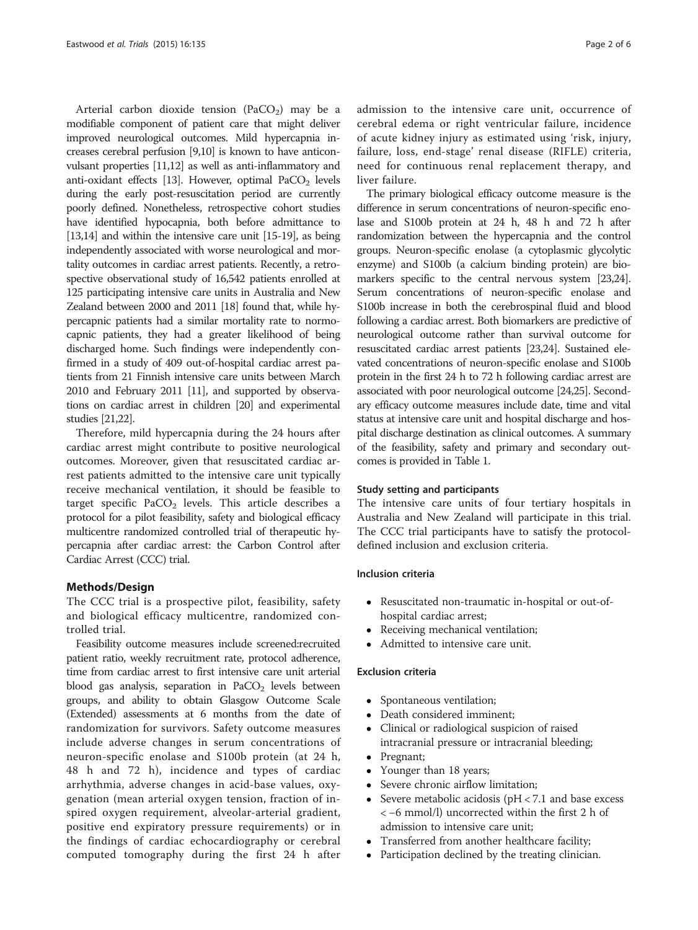Arterial carbon dioxide tension (PaCO<sub>2</sub>) may be a modifiable component of patient care that might deliver improved neurological outcomes. Mild hypercapnia increases cerebral perfusion [[9,10\]](#page-5-0) is known to have anticonvulsant properties [\[11,12](#page-5-0)] as well as anti-inflammatory and anti-oxidant effects [[13](#page-5-0)]. However, optimal  $PaCO<sub>2</sub>$  levels during the early post-resuscitation period are currently poorly defined. Nonetheless, retrospective cohort studies have identified hypocapnia, both before admittance to [[13,14\]](#page-5-0) and within the intensive care unit [\[15-19\]](#page-5-0), as being independently associated with worse neurological and mortality outcomes in cardiac arrest patients. Recently, a retrospective observational study of 16,542 patients enrolled at 125 participating intensive care units in Australia and New Zealand between 2000 and 2011 [\[18\]](#page-5-0) found that, while hypercapnic patients had a similar mortality rate to normocapnic patients, they had a greater likelihood of being discharged home. Such findings were independently confirmed in a study of 409 out-of-hospital cardiac arrest patients from 21 Finnish intensive care units between March 2010 and February 2011 [\[11](#page-5-0)], and supported by observations on cardiac arrest in children [\[20](#page-5-0)] and experimental studies [\[21,22](#page-5-0)].

Therefore, mild hypercapnia during the 24 hours after cardiac arrest might contribute to positive neurological outcomes. Moreover, given that resuscitated cardiac arrest patients admitted to the intensive care unit typically receive mechanical ventilation, it should be feasible to target specific PaCO<sub>2</sub> levels. This article describes a protocol for a pilot feasibility, safety and biological efficacy multicentre randomized controlled trial of therapeutic hypercapnia after cardiac arrest: the Carbon Control after Cardiac Arrest (CCC) trial.

# Methods/Design

The CCC trial is a prospective pilot, feasibility, safety and biological efficacy multicentre, randomized controlled trial.

Feasibility outcome measures include screened:recruited patient ratio, weekly recruitment rate, protocol adherence, time from cardiac arrest to first intensive care unit arterial blood gas analysis, separation in  $PaCO<sub>2</sub>$  levels between groups, and ability to obtain Glasgow Outcome Scale (Extended) assessments at 6 months from the date of randomization for survivors. Safety outcome measures include adverse changes in serum concentrations of neuron-specific enolase and S100b protein (at 24 h, 48 h and 72 h), incidence and types of cardiac arrhythmia, adverse changes in acid-base values, oxygenation (mean arterial oxygen tension, fraction of inspired oxygen requirement, alveolar-arterial gradient, positive end expiratory pressure requirements) or in the findings of cardiac echocardiography or cerebral computed tomography during the first 24 h after

admission to the intensive care unit, occurrence of cerebral edema or right ventricular failure, incidence of acute kidney injury as estimated using 'risk, injury, failure, loss, end-stage' renal disease (RIFLE) criteria, need for continuous renal replacement therapy, and liver failure.

The primary biological efficacy outcome measure is the difference in serum concentrations of neuron-specific enolase and S100b protein at 24 h, 48 h and 72 h after randomization between the hypercapnia and the control groups. Neuron-specific enolase (a cytoplasmic glycolytic enzyme) and S100b (a calcium binding protein) are biomarkers specific to the central nervous system [[23,24](#page-5-0)]. Serum concentrations of neuron-specific enolase and S100b increase in both the cerebrospinal fluid and blood following a cardiac arrest. Both biomarkers are predictive of neurological outcome rather than survival outcome for resuscitated cardiac arrest patients [\[23,24\]](#page-5-0). Sustained elevated concentrations of neuron-specific enolase and S100b protein in the first 24 h to 72 h following cardiac arrest are associated with poor neurological outcome [\[24,25](#page-5-0)]. Secondary efficacy outcome measures include date, time and vital status at intensive care unit and hospital discharge and hospital discharge destination as clinical outcomes. A summary of the feasibility, safety and primary and secondary outcomes is provided in Table [1.](#page-2-0)

### Study setting and participants

The intensive care units of four tertiary hospitals in Australia and New Zealand will participate in this trial. The CCC trial participants have to satisfy the protocoldefined inclusion and exclusion criteria.

## Inclusion criteria

- Resuscitated non-traumatic in-hospital or out-ofhospital cardiac arrest;
- Receiving mechanical ventilation;
- Admitted to intensive care unit.

# Exclusion criteria

- Spontaneous ventilation;
- Death considered imminent;
- Clinical or radiological suspicion of raised intracranial pressure or intracranial bleeding;
- Pregnant;
- Younger than 18 years;
- Severe chronic airflow limitation;
- Severe metabolic acidosis (pH < 7.1 and base excess < −6 mmol/l) uncorrected within the first 2 h of admission to intensive care unit;
- Transferred from another healthcare facility;
- Participation declined by the treating clinician.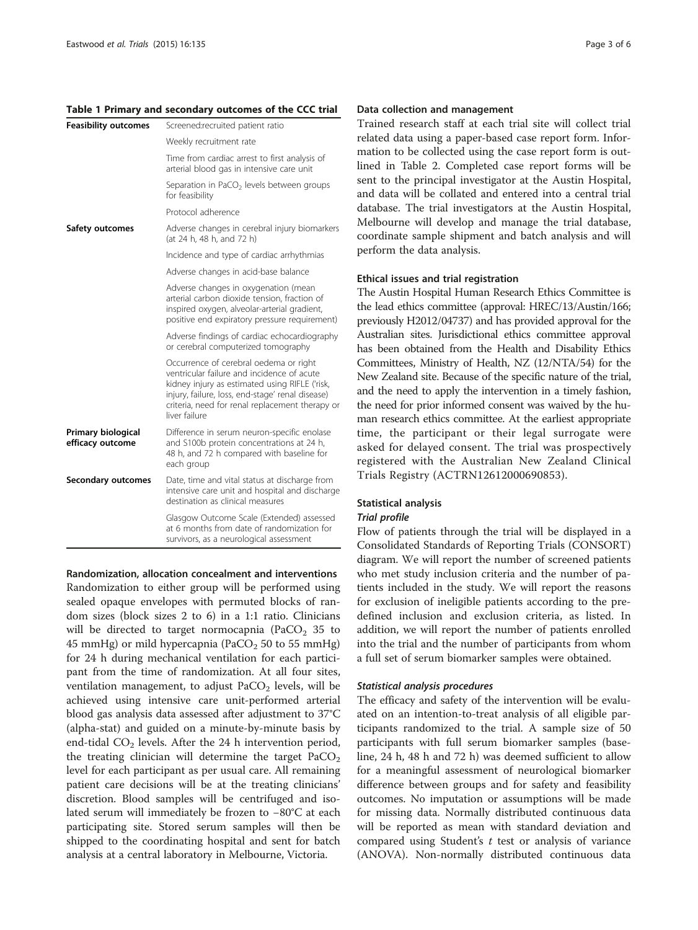#### <span id="page-2-0"></span>Table 1 Primary and secondary outcomes of the CCC trial

| <b>Feasibility outcomes</b>            | Screened:recruited patient ratio                                                                                                                                                                                                                               |  |
|----------------------------------------|----------------------------------------------------------------------------------------------------------------------------------------------------------------------------------------------------------------------------------------------------------------|--|
|                                        | Weekly recruitment rate                                                                                                                                                                                                                                        |  |
|                                        | Time from cardiac arrest to first analysis of<br>arterial blood gas in intensive care unit                                                                                                                                                                     |  |
|                                        | Separation in PaCO <sub>2</sub> levels between groups<br>for feasibility                                                                                                                                                                                       |  |
|                                        | Protocol adherence                                                                                                                                                                                                                                             |  |
| Safety outcomes                        | Adverse changes in cerebral injury biomarkers<br>(at 24 h, 48 h, and 72 h)                                                                                                                                                                                     |  |
|                                        | Incidence and type of cardiac arrhythmias                                                                                                                                                                                                                      |  |
|                                        | Adverse changes in acid-base balance                                                                                                                                                                                                                           |  |
|                                        | Adverse changes in oxygenation (mean<br>arterial carbon dioxide tension, fraction of<br>inspired oxygen, alveolar-arterial gradient,<br>positive end expiratory pressure requirement)                                                                          |  |
|                                        | Adverse findings of cardiac echocardiography<br>or cerebral computerized tomography                                                                                                                                                                            |  |
|                                        | Occurrence of cerebral oedema or right<br>ventricular failure and incidence of acute<br>kidney injury as estimated using RIFLE ('risk,<br>injury, failure, loss, end-stage' renal disease)<br>criteria, need for renal replacement therapy or<br>liver failure |  |
| Primary biological<br>efficacy outcome | Difference in serum neuron-specific enolase<br>and S100b protein concentrations at 24 h,<br>48 h, and 72 h compared with baseline for<br>each group                                                                                                            |  |
| <b>Secondary outcomes</b>              | Date, time and vital status at discharge from<br>intensive care unit and hospital and discharge<br>destination as clinical measures                                                                                                                            |  |
|                                        | Glasgow Outcome Scale (Extended) assessed<br>at 6 months from date of randomization for<br>survivors, as a neurological assessment                                                                                                                             |  |

Randomization, allocation concealment and interventions Randomization to either group will be performed using sealed opaque envelopes with permuted blocks of random sizes (block sizes 2 to 6) in a 1:1 ratio. Clinicians will be directed to target normocapnia (PaCO<sub>2</sub> 35 to 45 mmHg) or mild hypercapnia (PaCO $_2$  50 to 55 mmHg) for 24 h during mechanical ventilation for each participant from the time of randomization. At all four sites, ventilation management, to adjust  $PaCO<sub>2</sub>$  levels, will be achieved using intensive care unit-performed arterial blood gas analysis data assessed after adjustment to 37°C (alpha-stat) and guided on a minute-by-minute basis by end-tidal  $CO<sub>2</sub>$  levels. After the 24 h intervention period, the treating clinician will determine the target  $PaCO<sub>2</sub>$ level for each participant as per usual care. All remaining patient care decisions will be at the treating clinicians' discretion. Blood samples will be centrifuged and isolated serum will immediately be frozen to −80°C at each participating site. Stored serum samples will then be shipped to the coordinating hospital and sent for batch analysis at a central laboratory in Melbourne, Victoria.

#### Data collection and management

Trained research staff at each trial site will collect trial related data using a paper-based case report form. Information to be collected using the case report form is outlined in Table [2.](#page-3-0) Completed case report forms will be sent to the principal investigator at the Austin Hospital, and data will be collated and entered into a central trial database. The trial investigators at the Austin Hospital, Melbourne will develop and manage the trial database, coordinate sample shipment and batch analysis and will perform the data analysis.

#### Ethical issues and trial registration

The Austin Hospital Human Research Ethics Committee is the lead ethics committee (approval: HREC/13/Austin/166; previously H2012/04737) and has provided approval for the Australian sites. Jurisdictional ethics committee approval has been obtained from the Health and Disability Ethics Committees, Ministry of Health, NZ (12/NTA/54) for the New Zealand site. Because of the specific nature of the trial, and the need to apply the intervention in a timely fashion, the need for prior informed consent was waived by the human research ethics committee. At the earliest appropriate time, the participant or their legal surrogate were asked for delayed consent. The trial was prospectively registered with the Australian New Zealand Clinical Trials Registry (ACTRN12612000690853).

# Statistical analysis

# Trial profile

Flow of patients through the trial will be displayed in a Consolidated Standards of Reporting Trials (CONSORT) diagram. We will report the number of screened patients who met study inclusion criteria and the number of patients included in the study. We will report the reasons for exclusion of ineligible patients according to the predefined inclusion and exclusion criteria, as listed. In addition, we will report the number of patients enrolled into the trial and the number of participants from whom a full set of serum biomarker samples were obtained.

## Statistical analysis procedures

The efficacy and safety of the intervention will be evaluated on an intention-to-treat analysis of all eligible participants randomized to the trial. A sample size of 50 participants with full serum biomarker samples (baseline, 24 h, 48 h and 72 h) was deemed sufficient to allow for a meaningful assessment of neurological biomarker difference between groups and for safety and feasibility outcomes. No imputation or assumptions will be made for missing data. Normally distributed continuous data will be reported as mean with standard deviation and compared using Student's  $t$  test or analysis of variance (ANOVA). Non-normally distributed continuous data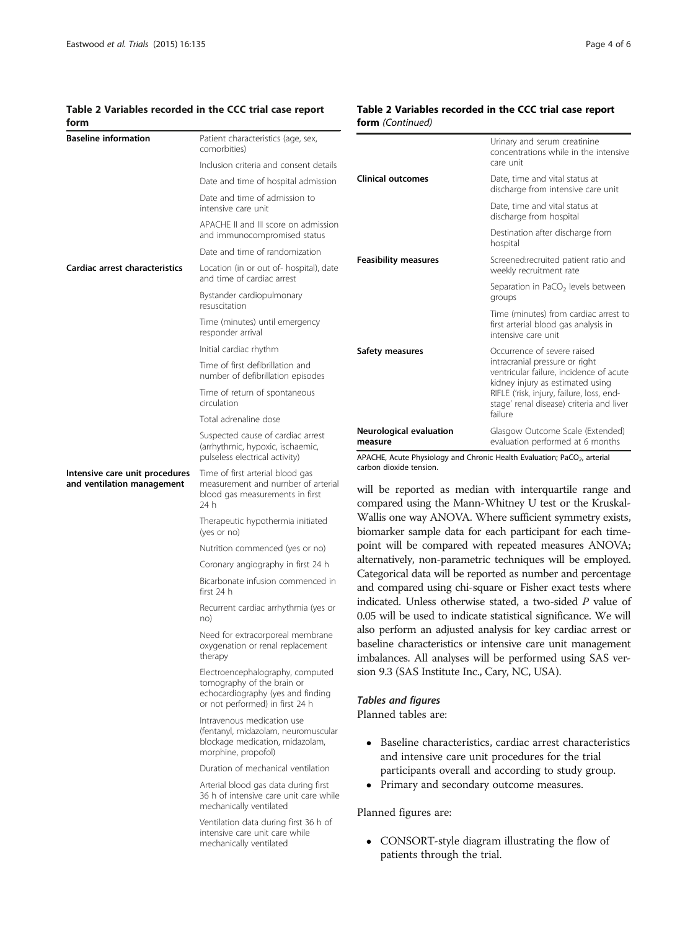## <span id="page-3-0"></span>Table 2 Variables recorded in the CCC trial case report form

# Table 2 Variables recorded in the CCC trial case report form (Continued)

| <b>Baseline information</b>                                  | Patient characteristics (age, sex,<br>comorbities)                                                                                                             |                                                                                                                                                                                                                                                                                                                                                                                                                                                                                                                                                                                                                                                                                                                                                                                                                                                                                                                                                                                                                                                | Urinary and serum creatinine<br>concentrations while in the intensive                                                                                                                                                                 |
|--------------------------------------------------------------|----------------------------------------------------------------------------------------------------------------------------------------------------------------|------------------------------------------------------------------------------------------------------------------------------------------------------------------------------------------------------------------------------------------------------------------------------------------------------------------------------------------------------------------------------------------------------------------------------------------------------------------------------------------------------------------------------------------------------------------------------------------------------------------------------------------------------------------------------------------------------------------------------------------------------------------------------------------------------------------------------------------------------------------------------------------------------------------------------------------------------------------------------------------------------------------------------------------------|---------------------------------------------------------------------------------------------------------------------------------------------------------------------------------------------------------------------------------------|
|                                                              | Inclusion criteria and consent details                                                                                                                         |                                                                                                                                                                                                                                                                                                                                                                                                                                                                                                                                                                                                                                                                                                                                                                                                                                                                                                                                                                                                                                                | care unit                                                                                                                                                                                                                             |
|                                                              | Date and time of hospital admission                                                                                                                            | <b>Clinical outcomes</b>                                                                                                                                                                                                                                                                                                                                                                                                                                                                                                                                                                                                                                                                                                                                                                                                                                                                                                                                                                                                                       | Date, time and vital status at<br>discharge from intensive care unit                                                                                                                                                                  |
|                                                              | Date and time of admission to<br>intensive care unit                                                                                                           |                                                                                                                                                                                                                                                                                                                                                                                                                                                                                                                                                                                                                                                                                                                                                                                                                                                                                                                                                                                                                                                | Date, time and vital status at<br>discharge from hospital                                                                                                                                                                             |
|                                                              | APACHE II and III score on admission<br>and immunocompromised status                                                                                           |                                                                                                                                                                                                                                                                                                                                                                                                                                                                                                                                                                                                                                                                                                                                                                                                                                                                                                                                                                                                                                                | Destination after discharge from<br>hospital                                                                                                                                                                                          |
|                                                              | Date and time of randomization                                                                                                                                 | <b>Feasibility measures</b>                                                                                                                                                                                                                                                                                                                                                                                                                                                                                                                                                                                                                                                                                                                                                                                                                                                                                                                                                                                                                    |                                                                                                                                                                                                                                       |
| Cardiac arrest characteristics                               | Location (in or out of- hospital), date<br>and time of cardiac arrest                                                                                          |                                                                                                                                                                                                                                                                                                                                                                                                                                                                                                                                                                                                                                                                                                                                                                                                                                                                                                                                                                                                                                                | Screened:recruited patient ratio and<br>weekly recruitment rate                                                                                                                                                                       |
|                                                              | Bystander cardiopulmonary<br>resuscitation                                                                                                                     |                                                                                                                                                                                                                                                                                                                                                                                                                                                                                                                                                                                                                                                                                                                                                                                                                                                                                                                                                                                                                                                | Separation in PaCO <sub>2</sub> levels between<br>groups                                                                                                                                                                              |
|                                                              | Time (minutes) until emergency<br>responder arrival                                                                                                            |                                                                                                                                                                                                                                                                                                                                                                                                                                                                                                                                                                                                                                                                                                                                                                                                                                                                                                                                                                                                                                                | Time (minutes) from cardiac arrest to<br>first arterial blood gas analysis in<br>intensive care unit                                                                                                                                  |
|                                                              | Initial cardiac rhythm                                                                                                                                         | Safety measures                                                                                                                                                                                                                                                                                                                                                                                                                                                                                                                                                                                                                                                                                                                                                                                                                                                                                                                                                                                                                                | Occurrence of severe raised<br>intracranial pressure or right<br>ventricular failure, incidence of acute<br>kidney injury as estimated using<br>RIFLE ('risk, injury, failure, loss, end-<br>stage' renal disease) criteria and liver |
|                                                              | Time of first defibrillation and<br>number of defibrillation episodes                                                                                          |                                                                                                                                                                                                                                                                                                                                                                                                                                                                                                                                                                                                                                                                                                                                                                                                                                                                                                                                                                                                                                                |                                                                                                                                                                                                                                       |
|                                                              | Time of return of spontaneous<br>circulation                                                                                                                   |                                                                                                                                                                                                                                                                                                                                                                                                                                                                                                                                                                                                                                                                                                                                                                                                                                                                                                                                                                                                                                                |                                                                                                                                                                                                                                       |
|                                                              | Total adrenaline dose                                                                                                                                          | failure                                                                                                                                                                                                                                                                                                                                                                                                                                                                                                                                                                                                                                                                                                                                                                                                                                                                                                                                                                                                                                        |                                                                                                                                                                                                                                       |
|                                                              | Suspected cause of cardiac arrest<br>(arrhythmic, hypoxic, ischaemic,                                                                                          | Neurological evaluation<br>measure                                                                                                                                                                                                                                                                                                                                                                                                                                                                                                                                                                                                                                                                                                                                                                                                                                                                                                                                                                                                             | Glasgow Outcome Scale (Extended)<br>evaluation performed at 6 months                                                                                                                                                                  |
|                                                              | pulseless electrical activity)                                                                                                                                 | carbon dioxide tension.                                                                                                                                                                                                                                                                                                                                                                                                                                                                                                                                                                                                                                                                                                                                                                                                                                                                                                                                                                                                                        | APACHE, Acute Physiology and Chronic Health Evaluation; PaCO <sub>2</sub> , arterial                                                                                                                                                  |
| Intensive care unit procedures<br>and ventilation management | Time of first arterial blood gas<br>measurement and number of arterial<br>blood gas measurements in first<br>24 h                                              | will be reported as median with interquartile range and<br>compared using the Mann-Whitney U test or the Kruskal-<br>Wallis one way ANOVA. Where sufficient symmetry exists,<br>biomarker sample data for each participant for each time-<br>point will be compared with repeated measures ANOVA;<br>alternatively, non-parametric techniques will be employed.<br>Categorical data will be reported as number and percentage<br>and compared using chi-square or Fisher exact tests where<br>indicated. Unless otherwise stated, a two-sided $P$ value of<br>0.05 will be used to indicate statistical significance. We will<br>also perform an adjusted analysis for key cardiac arrest or<br>baseline characteristics or intensive care unit management<br>imbalances. All analyses will be performed using SAS ver-<br>sion 9.3 (SAS Institute Inc., Cary, NC, USA).<br><b>Tables and figures</b><br>Planned tables are:<br>• Baseline characteristics, cardiac arrest characteristics<br>and intensive care unit procedures for the trial |                                                                                                                                                                                                                                       |
|                                                              | Therapeutic hypothermia initiated<br>(yes or no)                                                                                                               |                                                                                                                                                                                                                                                                                                                                                                                                                                                                                                                                                                                                                                                                                                                                                                                                                                                                                                                                                                                                                                                |                                                                                                                                                                                                                                       |
|                                                              | Nutrition commenced (yes or no)                                                                                                                                |                                                                                                                                                                                                                                                                                                                                                                                                                                                                                                                                                                                                                                                                                                                                                                                                                                                                                                                                                                                                                                                |                                                                                                                                                                                                                                       |
|                                                              | Coronary angiography in first 24 h                                                                                                                             |                                                                                                                                                                                                                                                                                                                                                                                                                                                                                                                                                                                                                                                                                                                                                                                                                                                                                                                                                                                                                                                |                                                                                                                                                                                                                                       |
|                                                              | Bicarbonate infusion commenced in<br>first 24 h                                                                                                                |                                                                                                                                                                                                                                                                                                                                                                                                                                                                                                                                                                                                                                                                                                                                                                                                                                                                                                                                                                                                                                                |                                                                                                                                                                                                                                       |
|                                                              | Recurrent cardiac arrhythmia (yes or<br>no)                                                                                                                    |                                                                                                                                                                                                                                                                                                                                                                                                                                                                                                                                                                                                                                                                                                                                                                                                                                                                                                                                                                                                                                                |                                                                                                                                                                                                                                       |
|                                                              | Need for extracorporeal membrane<br>oxygenation or renal replacement<br>therapy                                                                                |                                                                                                                                                                                                                                                                                                                                                                                                                                                                                                                                                                                                                                                                                                                                                                                                                                                                                                                                                                                                                                                |                                                                                                                                                                                                                                       |
|                                                              | Electroencephalography, computed<br>tomography of the brain or<br>echocardiography (yes and finding                                                            |                                                                                                                                                                                                                                                                                                                                                                                                                                                                                                                                                                                                                                                                                                                                                                                                                                                                                                                                                                                                                                                |                                                                                                                                                                                                                                       |
|                                                              | or not performed) in first 24 h<br>Intravenous medication use<br>(fentanyl, midazolam, neuromuscular<br>blockage medication, midazolam,<br>morphine, propofol) |                                                                                                                                                                                                                                                                                                                                                                                                                                                                                                                                                                                                                                                                                                                                                                                                                                                                                                                                                                                                                                                |                                                                                                                                                                                                                                       |
|                                                              |                                                                                                                                                                |                                                                                                                                                                                                                                                                                                                                                                                                                                                                                                                                                                                                                                                                                                                                                                                                                                                                                                                                                                                                                                                |                                                                                                                                                                                                                                       |

- Baseline characteristics, cardiac arrest characteristics and intensive care unit procedures for the trial participants overall and according to study group.
- Primary and secondary outcome measures.

Planned figures are:

Duration of mechanical ventilation Arterial blood gas data during first 36 h of intensive care unit care while

Ventilation data during first 36 h of intensive care unit care while mechanically ventilated

mechanically ventilated

 CONSORT-style diagram illustrating the flow of patients through the trial.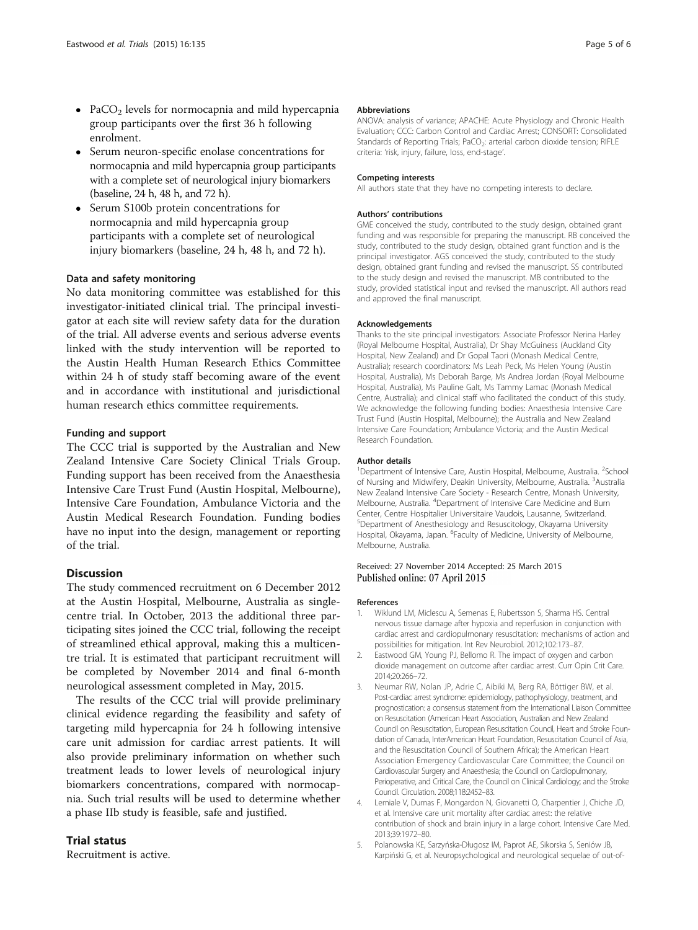- <span id="page-4-0"></span>• PaCO<sub>2</sub> levels for normocapnia and mild hypercapnia group participants over the first 36 h following enrolment.
- Serum neuron-specific enolase concentrations for normocapnia and mild hypercapnia group participants with a complete set of neurological injury biomarkers (baseline, 24 h, 48 h, and 72 h).
- Serum S100b protein concentrations for normocapnia and mild hypercapnia group participants with a complete set of neurological injury biomarkers (baseline, 24 h, 48 h, and 72 h).

### Data and safety monitoring

No data monitoring committee was established for this investigator-initiated clinical trial. The principal investigator at each site will review safety data for the duration of the trial. All adverse events and serious adverse events linked with the study intervention will be reported to the Austin Health Human Research Ethics Committee within 24 h of study staff becoming aware of the event and in accordance with institutional and jurisdictional human research ethics committee requirements.

#### Funding and support

The CCC trial is supported by the Australian and New Zealand Intensive Care Society Clinical Trials Group. Funding support has been received from the Anaesthesia Intensive Care Trust Fund (Austin Hospital, Melbourne), Intensive Care Foundation, Ambulance Victoria and the Austin Medical Research Foundation. Funding bodies have no input into the design, management or reporting of the trial.

## **Discussion**

The study commenced recruitment on 6 December 2012 at the Austin Hospital, Melbourne, Australia as singlecentre trial. In October, 2013 the additional three participating sites joined the CCC trial, following the receipt of streamlined ethical approval, making this a multicentre trial. It is estimated that participant recruitment will be completed by November 2014 and final 6-month neurological assessment completed in May, 2015.

The results of the CCC trial will provide preliminary clinical evidence regarding the feasibility and safety of targeting mild hypercapnia for 24 h following intensive care unit admission for cardiac arrest patients. It will also provide preliminary information on whether such treatment leads to lower levels of neurological injury biomarkers concentrations, compared with normocapnia. Such trial results will be used to determine whether a phase IIb study is feasible, safe and justified.

# Trial status

Recruitment is active.

#### Abbreviations

ANOVA: analysis of variance; APACHE: Acute Physiology and Chronic Health Evaluation; CCC: Carbon Control and Cardiac Arrest; CONSORT: Consolidated Standards of Reporting Trials; PaCO<sub>2</sub>: arterial carbon dioxide tension; RIFLE criteria: 'risk, injury, failure, loss, end-stage'.

#### Competing interests

All authors state that they have no competing interests to declare.

#### Authors' contributions

GME conceived the study, contributed to the study design, obtained grant funding and was responsible for preparing the manuscript. RB conceived the study, contributed to the study design, obtained grant function and is the principal investigator. AGS conceived the study, contributed to the study design, obtained grant funding and revised the manuscript. SS contributed to the study design and revised the manuscript. MB contributed to the study, provided statistical input and revised the manuscript. All authors read and approved the final manuscript.

#### Acknowledgements

Thanks to the site principal investigators: Associate Professor Nerina Harley (Royal Melbourne Hospital, Australia), Dr Shay McGuiness (Auckland City Hospital, New Zealand) and Dr Gopal Taori (Monash Medical Centre, Australia); research coordinators: Ms Leah Peck, Ms Helen Young (Austin Hospital, Australia), Ms Deborah Barge, Ms Andrea Jordan (Royal Melbourne Hospital, Australia), Ms Pauline Galt, Ms Tammy Lamac (Monash Medical Centre, Australia); and clinical staff who facilitated the conduct of this study. We acknowledge the following funding bodies: Anaesthesia Intensive Care Trust Fund (Austin Hospital, Melbourne); the Australia and New Zealand Intensive Care Foundation; Ambulance Victoria; and the Austin Medical Research Foundation.

#### Author details

<sup>1</sup>Department of Intensive Care, Austin Hospital, Melbourne, Australia. <sup>2</sup>School of Nursing and Midwifery, Deakin University, Melbourne, Australia. <sup>3</sup>Australia New Zealand Intensive Care Society - Research Centre, Monash University, Melbourne, Australia. <sup>4</sup>Department of Intensive Care Medicine and Burn Center, Centre Hospitalier Universitaire Vaudois, Lausanne, Switzerland. 5 Department of Anesthesiology and Resuscitology, Okayama University Hospital, Okayama, Japan. <sup>6</sup>Faculty of Medicine, University of Melbourne Melbourne, Australia.

# Received: 27 November 2014 Accepted: 25 March 2015 Published online: 07 April 2015

#### References

- 1. Wiklund LM, Miclescu A, Semenas E, Rubertsson S, Sharma HS. Central nervous tissue damage after hypoxia and reperfusion in conjunction with cardiac arrest and cardiopulmonary resuscitation: mechanisms of action and possibilities for mitigation. Int Rev Neurobiol. 2012;102:173–87.
- 2. Eastwood GM, Young PJ, Bellomo R. The impact of oxygen and carbon dioxide management on outcome after cardiac arrest. Curr Opin Crit Care. 2014;20:266–72.
- 3. Neumar RW, Nolan JP, Adrie C, Aibiki M, Berg RA, Böttiger BW, et al. Post-cardiac arrest syndrome: epidemiology, pathophysiology, treatment, and prognostication: a consensus statement from the International Liaison Committee on Resuscitation (American Heart Association, Australian and New Zealand Council on Resuscitation, European Resuscitation Council, Heart and Stroke Foundation of Canada, InterAmerican Heart Foundation, Resuscitation Council of Asia, and the Resuscitation Council of Southern Africa); the American Heart Association Emergency Cardiovascular Care Committee; the Council on Cardiovascular Surgery and Anaesthesia; the Council on Cardiopulmonary, Perioperative, and Critical Care, the Council on Clinical Cardiology; and the Stroke Council. Circulation. 2008;118:2452–83.
- 4. Lemiale V, Dumas F, Mongardon N, Giovanetti O, Charpentier J, Chiche JD, et al. Intensive care unit mortality after cardiac arrest: the relative contribution of shock and brain injury in a large cohort. Intensive Care Med. 2013;39:1972–80.
- 5. Polanowska KE, Sarzyńska-Długosz IM, Paprot AE, Sikorska S, Seniów JB, Karpiński G, et al. Neuropsychological and neurological sequelae of out-of-